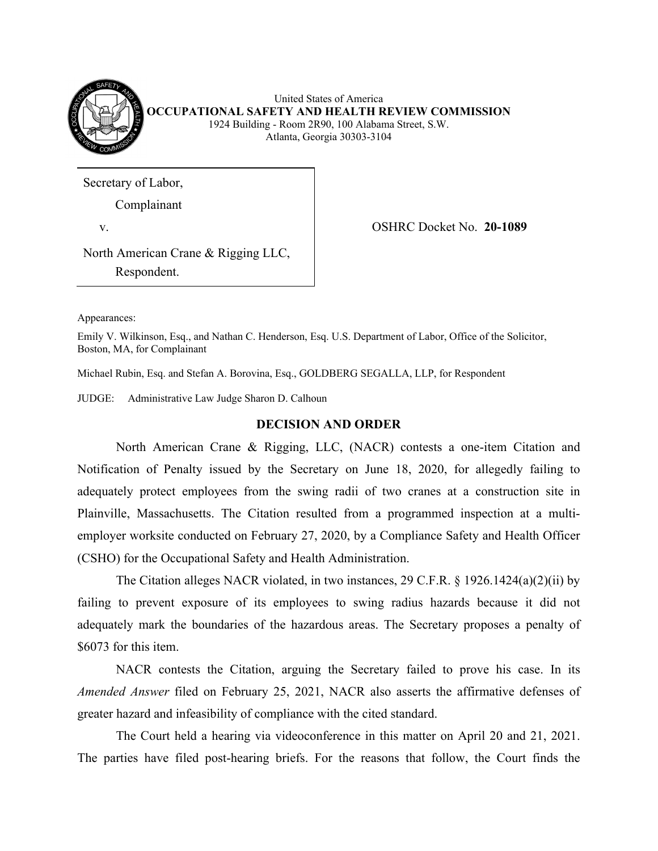

United States of America **OCCUPATIONAL SAFETY AND HEALTH REVIEW COMMISSION**  1924 Building - Room 2R90, 100 Alabama Street, S.W. Atlanta, Georgia 30303-3104

Secretary of Labor,

Complainant

v. OSHRC Docket No. **20-1089** 

North American Crane & Rigging LLC, Respondent.

Appearances:

Emily V. Wilkinson, Esq., and Nathan C. Henderson, Esq. U.S. Department of Labor, Office of the Solicitor, Boston, MA, for Complainant

Michael Rubin, Esq. and Stefan A. Borovina, Esq., GOLDBERG SEGALLA, LLP, for Respondent

JUDGE: Administrative Law Judge Sharon D. Calhoun

## **DECISION AND ORDER**

 North American Crane & Rigging, LLC, (NACR) contests a one-item Citation and Notification of Penalty issued by the Secretary on June 18, 2020, for allegedly failing to adequately protect employees from the swing radii of two cranes at a construction site in Plainville, Massachusetts. The Citation resulted from a programmed inspection at a multiemployer worksite conducted on February 27, 2020, by a Compliance Safety and Health Officer (CSHO) for the Occupational Safety and Health Administration.

 The Citation alleges NACR violated, in two instances, 29 C.F.R. § 1926.1424(a)(2)(ii) by failing to prevent exposure of its employees to swing radius hazards because it did not adequately mark the boundaries of the hazardous areas. The Secretary proposes a penalty of \$6073 for this item.

 NACR contests the Citation, arguing the Secretary failed to prove his case. In its *Amended Answer* filed on February 25, 2021, NACR also asserts the affirmative defenses of greater hazard and infeasibility of compliance with the cited standard.

 The Court held a hearing via videoconference in this matter on April 20 and 21, 2021. The parties have filed post-hearing briefs. For the reasons that follow, the Court finds the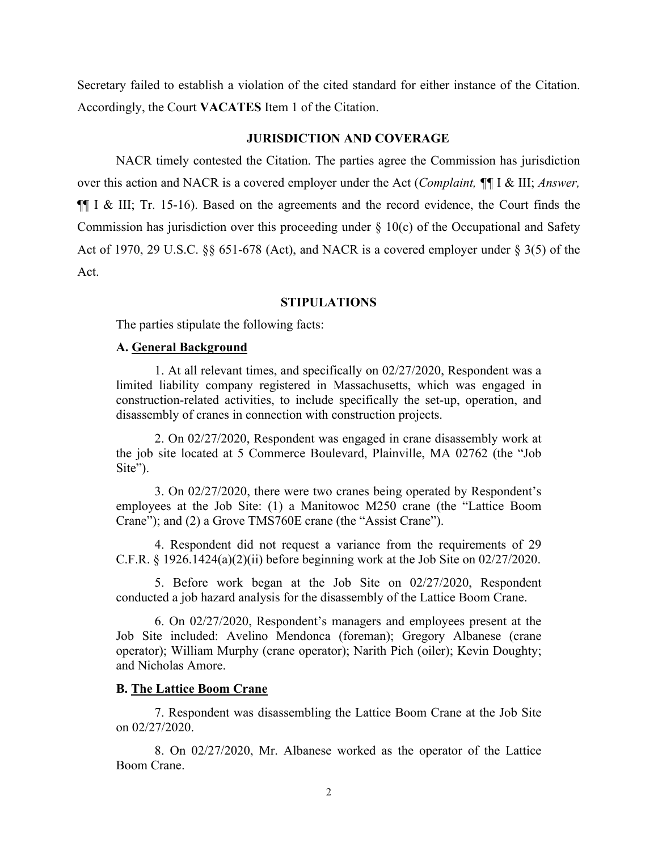Secretary failed to establish a violation of the cited standard for either instance of the Citation. Accordingly, the Court **VACATES** Item 1 of the Citation.

# **JURISDICTION AND COVERAGE**

 NACR timely contested the Citation. The parties agree the Commission has jurisdiction over this action and NACR is a covered employer under the Act (*Complaint, ¶¶* I & III; *Answer,*  ¶¶ I & III; Tr. 15-16). Based on the agreements and the record evidence, the Court finds the Commission has jurisdiction over this proceeding under  $\S$  10(c) of the Occupational and Safety Act of 1970, 29 U.S.C. §§ 651-678 (Act), and NACR is a covered employer under § 3(5) of the Act.

## **STIPULATIONS**

The parties stipulate the following facts:

### **A. General Background**

 1. At all relevant times, and specifically on 02/27/2020, Respondent was a limited liability company registered in Massachusetts, which was engaged in construction-related activities, to include specifically the set-up, operation, and disassembly of cranes in connection with construction projects.

 2. On 02/27/2020, Respondent was engaged in crane disassembly work at the job site located at 5 Commerce Boulevard, Plainville, MA 02762 (the "Job Site").

 3. On 02/27/2020, there were two cranes being operated by Respondent's employees at the Job Site: (1) a Manitowoc M250 crane (the "Lattice Boom Crane"); and (2) a Grove TMS760E crane (the "Assist Crane").

 4. Respondent did not request a variance from the requirements of 29 C.F.R.  $\S$  1926.1424(a)(2)(ii) before beginning work at the Job Site on 02/27/2020.

 5. Before work began at the Job Site on 02/27/2020, Respondent conducted a job hazard analysis for the disassembly of the Lattice Boom Crane.

 6. On 02/27/2020, Respondent's managers and employees present at the Job Site included: Avelino Mendonca (foreman); Gregory Albanese (crane operator); William Murphy (crane operator); Narith Pich (oiler); Kevin Doughty; and Nicholas Amore.

#### **B. The Lattice Boom Crane**

 7. Respondent was disassembling the Lattice Boom Crane at the Job Site on 02/27/2020.

 8. On 02/27/2020, Mr. Albanese worked as the operator of the Lattice Boom Crane.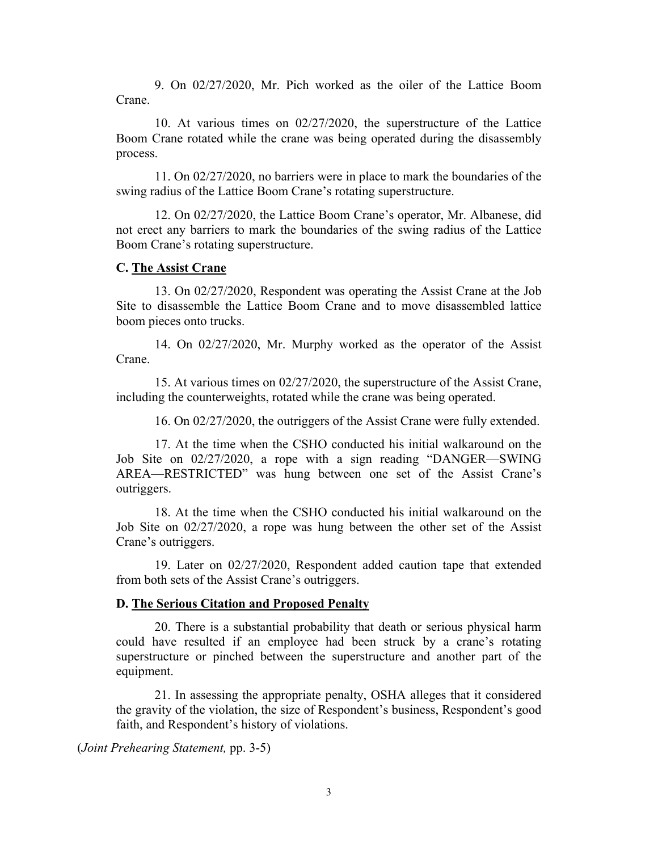9. On 02/27/2020, Mr. Pich worked as the oiler of the Lattice Boom Crane.

 10. At various times on 02/27/2020, the superstructure of the Lattice Boom Crane rotated while the crane was being operated during the disassembly process.

 11. On 02/27/2020, no barriers were in place to mark the boundaries of the swing radius of the Lattice Boom Crane's rotating superstructure.

 12. On 02/27/2020, the Lattice Boom Crane's operator, Mr. Albanese, did not erect any barriers to mark the boundaries of the swing radius of the Lattice Boom Crane's rotating superstructure.

## **C. The Assist Crane**

 13. On 02/27/2020, Respondent was operating the Assist Crane at the Job Site to disassemble the Lattice Boom Crane and to move disassembled lattice boom pieces onto trucks.

 14. On 02/27/2020, Mr. Murphy worked as the operator of the Assist Crane.

 15. At various times on 02/27/2020, the superstructure of the Assist Crane, including the counterweights, rotated while the crane was being operated.

16. On 02/27/2020, the outriggers of the Assist Crane were fully extended.

 17. At the time when the CSHO conducted his initial walkaround on the Job Site on 02/27/2020, a rope with a sign reading "DANGER—SWING AREA—RESTRICTED" was hung between one set of the Assist Crane's outriggers.

 18. At the time when the CSHO conducted his initial walkaround on the Job Site on 02/27/2020, a rope was hung between the other set of the Assist Crane's outriggers.

19. Later on 02/27/2020, Respondent added caution tape that extended from both sets of the Assist Crane's outriggers.

#### **D. The Serious Citation and Proposed Penalty**

20. There is a substantial probability that death or serious physical harm could have resulted if an employee had been struck by a crane's rotating superstructure or pinched between the superstructure and another part of the equipment.

21. In assessing the appropriate penalty, OSHA alleges that it considered the gravity of the violation, the size of Respondent's business, Respondent's good faith, and Respondent's history of violations.

(*Joint Prehearing Statement,* pp. 3-5)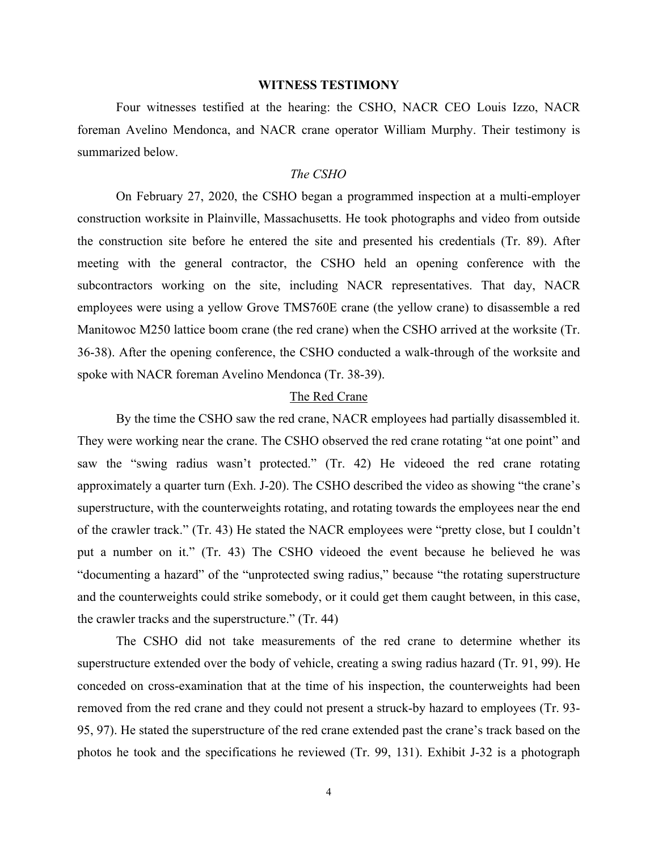### **WITNESS TESTIMONY**

 Four witnesses testified at the hearing: the CSHO, NACR CEO Louis Izzo, NACR foreman Avelino Mendonca, and NACR crane operator William Murphy. Their testimony is summarized below.

### *The CSHO*

 On February 27, 2020, the CSHO began a programmed inspection at a multi-employer construction worksite in Plainville, Massachusetts. He took photographs and video from outside the construction site before he entered the site and presented his credentials (Tr. 89). After meeting with the general contractor, the CSHO held an opening conference with the subcontractors working on the site, including NACR representatives. That day, NACR employees were using a yellow Grove TMS760E crane (the yellow crane) to disassemble a red Manitowoc M250 lattice boom crane (the red crane) when the CSHO arrived at the worksite (Tr. 36-38). After the opening conference, the CSHO conducted a walk-through of the worksite and spoke with NACR foreman Avelino Mendonca (Tr. 38-39).

## The Red Crane

 By the time the CSHO saw the red crane, NACR employees had partially disassembled it. They were working near the crane. The CSHO observed the red crane rotating "at one point" and saw the "swing radius wasn't protected." (Tr. 42) He videoed the red crane rotating approximately a quarter turn (Exh. J-20). The CSHO described the video as showing "the crane's superstructure, with the counterweights rotating, and rotating towards the employees near the end of the crawler track." (Tr. 43) He stated the NACR employees were "pretty close, but I couldn't put a number on it." (Tr. 43) The CSHO videoed the event because he believed he was "documenting a hazard" of the "unprotected swing radius," because "the rotating superstructure and the counterweights could strike somebody, or it could get them caught between, in this case, the crawler tracks and the superstructure." (Tr. 44)

 The CSHO did not take measurements of the red crane to determine whether its superstructure extended over the body of vehicle, creating a swing radius hazard (Tr. 91, 99). He conceded on cross-examination that at the time of his inspection, the counterweights had been removed from the red crane and they could not present a struck-by hazard to employees (Tr. 93- 95, 97). He stated the superstructure of the red crane extended past the crane's track based on the photos he took and the specifications he reviewed (Tr. 99, 131). Exhibit J-32 is a photograph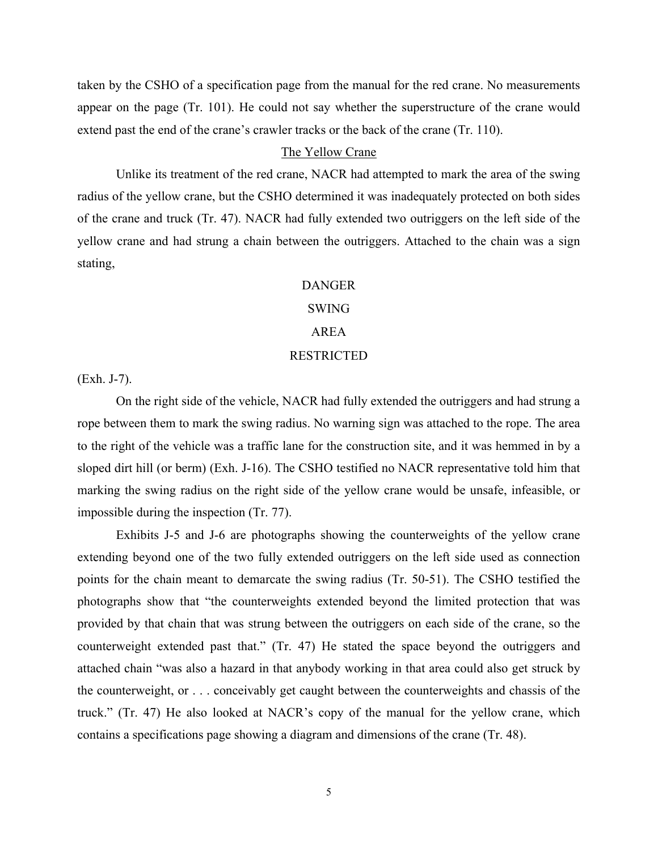taken by the CSHO of a specification page from the manual for the red crane. No measurements appear on the page (Tr. 101). He could not say whether the superstructure of the crane would extend past the end of the crane's crawler tracks or the back of the crane (Tr. 110).

# The Yellow Crane

 Unlike its treatment of the red crane, NACR had attempted to mark the area of the swing radius of the yellow crane, but the CSHO determined it was inadequately protected on both sides of the crane and truck (Tr. 47). NACR had fully extended two outriggers on the left side of the yellow crane and had strung a chain between the outriggers. Attached to the chain was a sign stating,

#### DANGER

## SWING

# AREA

## RESTRICTED

(Exh. J-7).

 On the right side of the vehicle, NACR had fully extended the outriggers and had strung a rope between them to mark the swing radius. No warning sign was attached to the rope. The area to the right of the vehicle was a traffic lane for the construction site, and it was hemmed in by a sloped dirt hill (or berm) (Exh. J-16). The CSHO testified no NACR representative told him that marking the swing radius on the right side of the yellow crane would be unsafe, infeasible, or impossible during the inspection (Tr. 77).

 Exhibits J-5 and J-6 are photographs showing the counterweights of the yellow crane extending beyond one of the two fully extended outriggers on the left side used as connection points for the chain meant to demarcate the swing radius (Tr. 50-51). The CSHO testified the photographs show that "the counterweights extended beyond the limited protection that was provided by that chain that was strung between the outriggers on each side of the crane, so the counterweight extended past that." (Tr. 47) He stated the space beyond the outriggers and attached chain "was also a hazard in that anybody working in that area could also get struck by the counterweight, or . . . conceivably get caught between the counterweights and chassis of the truck." (Tr. 47) He also looked at NACR's copy of the manual for the yellow crane, which contains a specifications page showing a diagram and dimensions of the crane (Tr. 48).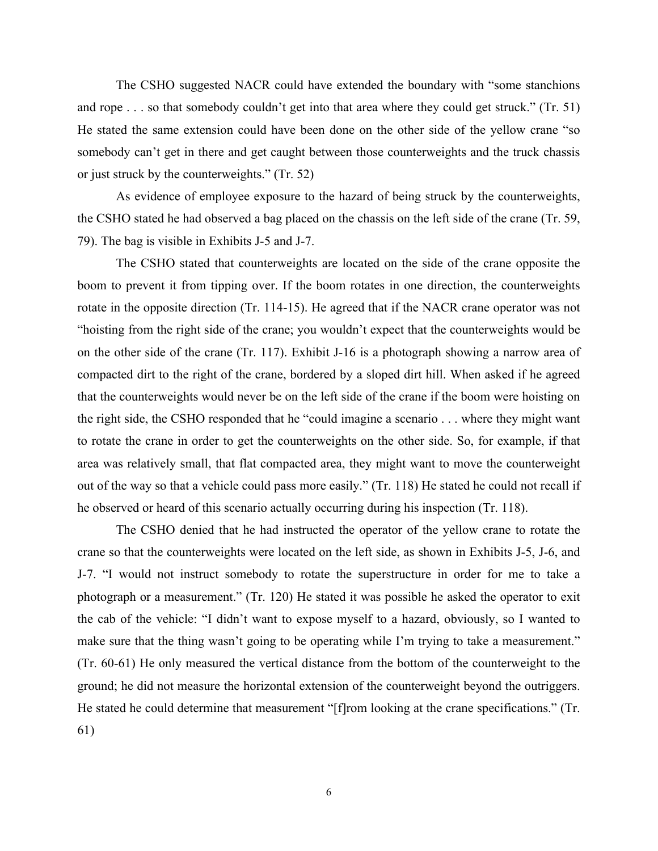The CSHO suggested NACR could have extended the boundary with "some stanchions and rope . . . so that somebody couldn't get into that area where they could get struck." (Tr. 51) He stated the same extension could have been done on the other side of the yellow crane "so somebody can't get in there and get caught between those counterweights and the truck chassis or just struck by the counterweights." (Tr. 52)

 As evidence of employee exposure to the hazard of being struck by the counterweights, the CSHO stated he had observed a bag placed on the chassis on the left side of the crane (Tr. 59, 79). The bag is visible in Exhibits J-5 and J-7.

 The CSHO stated that counterweights are located on the side of the crane opposite the boom to prevent it from tipping over. If the boom rotates in one direction, the counterweights rotate in the opposite direction (Tr. 114-15). He agreed that if the NACR crane operator was not "hoisting from the right side of the crane; you wouldn't expect that the counterweights would be on the other side of the crane (Tr. 117). Exhibit J-16 is a photograph showing a narrow area of compacted dirt to the right of the crane, bordered by a sloped dirt hill. When asked if he agreed that the counterweights would never be on the left side of the crane if the boom were hoisting on the right side, the CSHO responded that he "could imagine a scenario . . . where they might want to rotate the crane in order to get the counterweights on the other side. So, for example, if that area was relatively small, that flat compacted area, they might want to move the counterweight out of the way so that a vehicle could pass more easily." (Tr. 118) He stated he could not recall if he observed or heard of this scenario actually occurring during his inspection (Tr. 118).

 The CSHO denied that he had instructed the operator of the yellow crane to rotate the crane so that the counterweights were located on the left side, as shown in Exhibits J-5, J-6, and J-7. "I would not instruct somebody to rotate the superstructure in order for me to take a photograph or a measurement." (Tr. 120) He stated it was possible he asked the operator to exit the cab of the vehicle: "I didn't want to expose myself to a hazard, obviously, so I wanted to make sure that the thing wasn't going to be operating while I'm trying to take a measurement." (Tr. 60-61) He only measured the vertical distance from the bottom of the counterweight to the ground; he did not measure the horizontal extension of the counterweight beyond the outriggers. He stated he could determine that measurement "[f]rom looking at the crane specifications." (Tr. 61)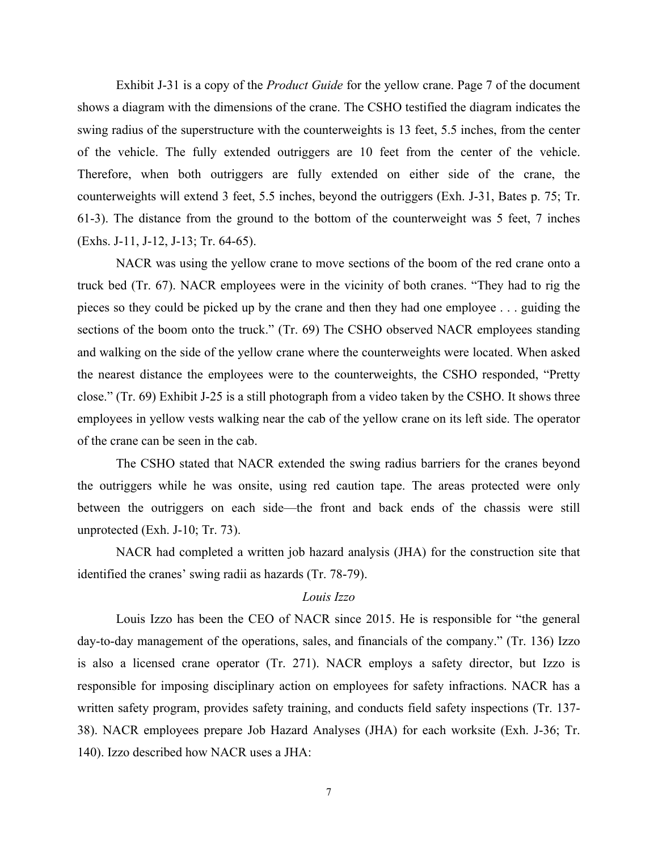Exhibit J-31 is a copy of the *Product Guide* for the yellow crane. Page 7 of the document shows a diagram with the dimensions of the crane. The CSHO testified the diagram indicates the swing radius of the superstructure with the counterweights is 13 feet, 5.5 inches, from the center of the vehicle. The fully extended outriggers are 10 feet from the center of the vehicle. Therefore, when both outriggers are fully extended on either side of the crane, the counterweights will extend 3 feet, 5.5 inches, beyond the outriggers (Exh. J-31, Bates p. 75; Tr. 61-3). The distance from the ground to the bottom of the counterweight was 5 feet, 7 inches (Exhs. J-11, J-12, J-13; Tr. 64-65).

 NACR was using the yellow crane to move sections of the boom of the red crane onto a truck bed (Tr. 67). NACR employees were in the vicinity of both cranes. "They had to rig the pieces so they could be picked up by the crane and then they had one employee . . . guiding the sections of the boom onto the truck." (Tr. 69) The CSHO observed NACR employees standing and walking on the side of the yellow crane where the counterweights were located. When asked the nearest distance the employees were to the counterweights, the CSHO responded, "Pretty close." (Tr. 69) Exhibit J-25 is a still photograph from a video taken by the CSHO. It shows three employees in yellow vests walking near the cab of the yellow crane on its left side. The operator of the crane can be seen in the cab.

 The CSHO stated that NACR extended the swing radius barriers for the cranes beyond the outriggers while he was onsite, using red caution tape. The areas protected were only between the outriggers on each side—the front and back ends of the chassis were still unprotected (Exh. J-10; Tr. 73).

 NACR had completed a written job hazard analysis (JHA) for the construction site that identified the cranes' swing radii as hazards (Tr. 78-79).

# *Louis Izzo*

 Louis Izzo has been the CEO of NACR since 2015. He is responsible for "the general day-to-day management of the operations, sales, and financials of the company." (Tr. 136) Izzo is also a licensed crane operator (Tr. 271). NACR employs a safety director, but Izzo is responsible for imposing disciplinary action on employees for safety infractions. NACR has a written safety program, provides safety training, and conducts field safety inspections (Tr. 137- 38). NACR employees prepare Job Hazard Analyses (JHA) for each worksite (Exh. J-36; Tr. 140). Izzo described how NACR uses a JHA: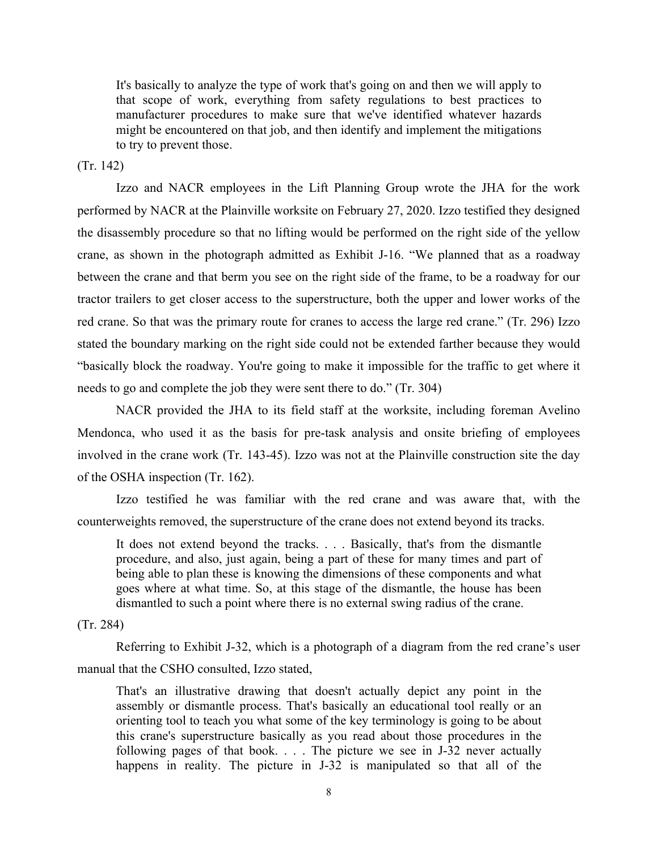It's basically to analyze the type of work that's going on and then we will apply to that scope of work, everything from safety regulations to best practices to manufacturer procedures to make sure that we've identified whatever hazards might be encountered on that job, and then identify and implement the mitigations to try to prevent those.

(Tr. 142)

 Izzo and NACR employees in the Lift Planning Group wrote the JHA for the work performed by NACR at the Plainville worksite on February 27, 2020. Izzo testified they designed the disassembly procedure so that no lifting would be performed on the right side of the yellow crane, as shown in the photograph admitted as Exhibit J-16. "We planned that as a roadway between the crane and that berm you see on the right side of the frame, to be a roadway for our tractor trailers to get closer access to the superstructure, both the upper and lower works of the red crane. So that was the primary route for cranes to access the large red crane." (Tr. 296) Izzo stated the boundary marking on the right side could not be extended farther because they would "basically block the roadway. You're going to make it impossible for the traffic to get where it needs to go and complete the job they were sent there to do." (Tr. 304)

 NACR provided the JHA to its field staff at the worksite, including foreman Avelino Mendonca, who used it as the basis for pre-task analysis and onsite briefing of employees involved in the crane work (Tr. 143-45). Izzo was not at the Plainville construction site the day of the OSHA inspection (Tr. 162).

 Izzo testified he was familiar with the red crane and was aware that, with the counterweights removed, the superstructure of the crane does not extend beyond its tracks.

It does not extend beyond the tracks. . . . Basically, that's from the dismantle procedure, and also, just again, being a part of these for many times and part of being able to plan these is knowing the dimensions of these components and what goes where at what time. So, at this stage of the dismantle, the house has been dismantled to such a point where there is no external swing radius of the crane.

(Tr. 284)

 Referring to Exhibit J-32, which is a photograph of a diagram from the red crane's user manual that the CSHO consulted, Izzo stated,

That's an illustrative drawing that doesn't actually depict any point in the assembly or dismantle process. That's basically an educational tool really or an orienting tool to teach you what some of the key terminology is going to be about this crane's superstructure basically as you read about those procedures in the following pages of that book.  $\ldots$  The picture we see in J-32 never actually happens in reality. The picture in J-32 is manipulated so that all of the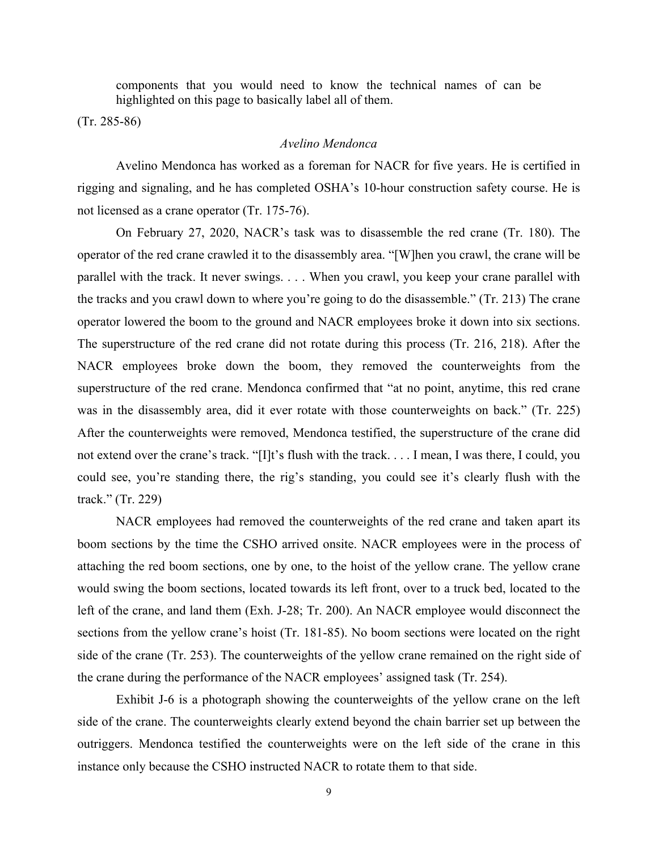components that you would need to know the technical names of can be highlighted on this page to basically label all of them.

(Tr. 285-86)

# *Avelino Mendonca*

 Avelino Mendonca has worked as a foreman for NACR for five years. He is certified in rigging and signaling, and he has completed OSHA's 10-hour construction safety course. He is not licensed as a crane operator (Tr. 175-76).

 On February 27, 2020, NACR's task was to disassemble the red crane (Tr. 180). The operator of the red crane crawled it to the disassembly area. "[W]hen you crawl, the crane will be parallel with the track. It never swings. . . . When you crawl, you keep your crane parallel with the tracks and you crawl down to where you're going to do the disassemble." (Tr. 213) The crane operator lowered the boom to the ground and NACR employees broke it down into six sections. The superstructure of the red crane did not rotate during this process (Tr. 216, 218). After the NACR employees broke down the boom, they removed the counterweights from the superstructure of the red crane. Mendonca confirmed that "at no point, anytime, this red crane was in the disassembly area, did it ever rotate with those counterweights on back." (Tr. 225) After the counterweights were removed, Mendonca testified, the superstructure of the crane did not extend over the crane's track. "[I]t's flush with the track. . . . I mean, I was there, I could, you could see, you're standing there, the rig's standing, you could see it's clearly flush with the track." (Tr. 229)

 NACR employees had removed the counterweights of the red crane and taken apart its boom sections by the time the CSHO arrived onsite. NACR employees were in the process of attaching the red boom sections, one by one, to the hoist of the yellow crane. The yellow crane would swing the boom sections, located towards its left front, over to a truck bed, located to the left of the crane, and land them (Exh. J-28; Tr. 200). An NACR employee would disconnect the sections from the yellow crane's hoist (Tr. 181-85). No boom sections were located on the right side of the crane (Tr. 253). The counterweights of the yellow crane remained on the right side of the crane during the performance of the NACR employees' assigned task (Tr. 254).

 Exhibit J-6 is a photograph showing the counterweights of the yellow crane on the left side of the crane. The counterweights clearly extend beyond the chain barrier set up between the outriggers. Mendonca testified the counterweights were on the left side of the crane in this instance only because the CSHO instructed NACR to rotate them to that side.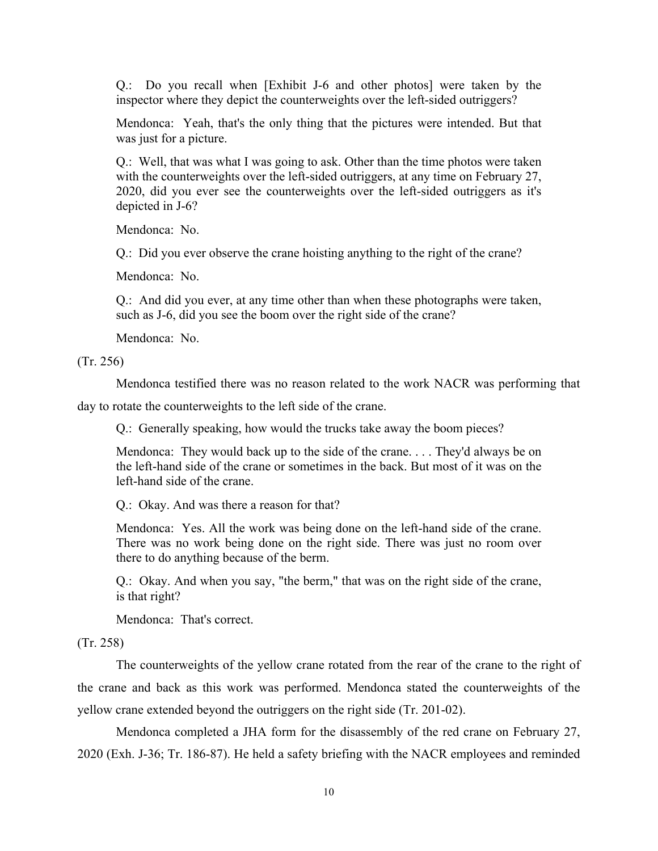Q.: Do you recall when [Exhibit J-6 and other photos] were taken by the inspector where they depict the counterweights over the left-sided outriggers?

Mendonca: Yeah, that's the only thing that the pictures were intended. But that was just for a picture.

Q.: Well, that was what I was going to ask. Other than the time photos were taken with the counterweights over the left-sided outriggers, at any time on February 27, 2020, did you ever see the counterweights over the left-sided outriggers as it's depicted in J-6?

Mendonca: No.

Q.: Did you ever observe the crane hoisting anything to the right of the crane?

Mendonca: No.

Q.: And did you ever, at any time other than when these photographs were taken, such as J-6, did you see the boom over the right side of the crane?

Mendonca: No.

(Tr. 256)

Mendonca testified there was no reason related to the work NACR was performing that

day to rotate the counterweights to the left side of the crane.

Q.: Generally speaking, how would the trucks take away the boom pieces?

Mendonca: They would back up to the side of the crane. . . . They'd always be on the left-hand side of the crane or sometimes in the back. But most of it was on the left-hand side of the crane.

Q.: Okay. And was there a reason for that?

Mendonca: Yes. All the work was being done on the left-hand side of the crane. There was no work being done on the right side. There was just no room over there to do anything because of the berm.

Q.: Okay. And when you say, "the berm," that was on the right side of the crane, is that right?

Mendonca: That's correct.

(Tr. 258)

 The counterweights of the yellow crane rotated from the rear of the crane to the right of the crane and back as this work was performed. Mendonca stated the counterweights of the yellow crane extended beyond the outriggers on the right side (Tr. 201-02).

 Mendonca completed a JHA form for the disassembly of the red crane on February 27, 2020 (Exh. J-36; Tr. 186-87). He held a safety briefing with the NACR employees and reminded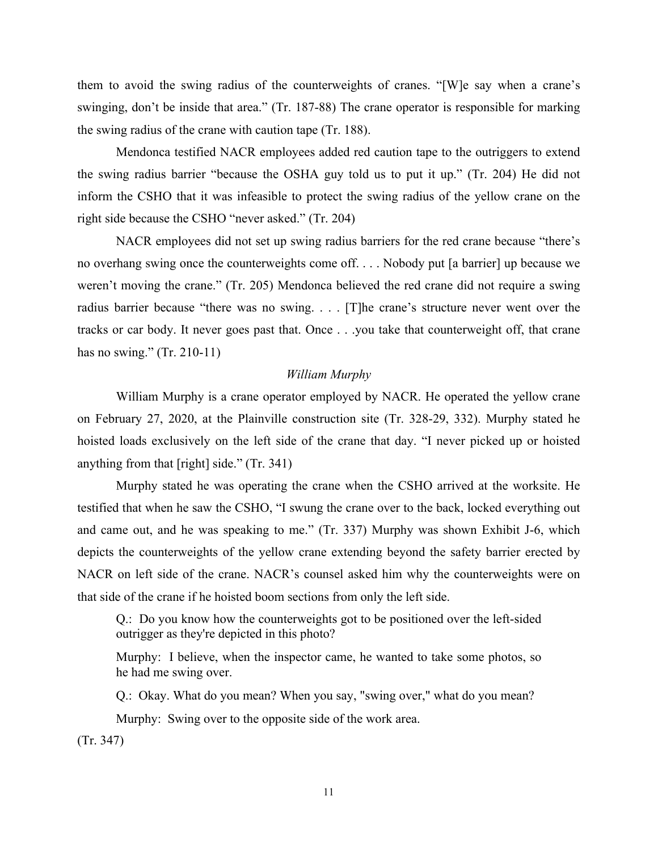them to avoid the swing radius of the counterweights of cranes. "[W]e say when a crane's swinging, don't be inside that area." (Tr. 187-88) The crane operator is responsible for marking the swing radius of the crane with caution tape (Tr. 188).

 Mendonca testified NACR employees added red caution tape to the outriggers to extend the swing radius barrier "because the OSHA guy told us to put it up." (Tr. 204) He did not inform the CSHO that it was infeasible to protect the swing radius of the yellow crane on the right side because the CSHO "never asked." (Tr. 204)

 NACR employees did not set up swing radius barriers for the red crane because "there's no overhang swing once the counterweights come off. . . . Nobody put [a barrier] up because we weren't moving the crane." (Tr. 205) Mendonca believed the red crane did not require a swing radius barrier because "there was no swing. . . . [T]he crane's structure never went over the tracks or car body. It never goes past that. Once . . .you take that counterweight off, that crane has no swing." (Tr. 210-11)

### *William Murphy*

 William Murphy is a crane operator employed by NACR. He operated the yellow crane on February 27, 2020, at the Plainville construction site (Tr. 328-29, 332). Murphy stated he hoisted loads exclusively on the left side of the crane that day. "I never picked up or hoisted anything from that [right] side." (Tr. 341)

 Murphy stated he was operating the crane when the CSHO arrived at the worksite. He testified that when he saw the CSHO, "I swung the crane over to the back, locked everything out and came out, and he was speaking to me." (Tr. 337) Murphy was shown Exhibit J-6, which depicts the counterweights of the yellow crane extending beyond the safety barrier erected by NACR on left side of the crane. NACR's counsel asked him why the counterweights were on that side of the crane if he hoisted boom sections from only the left side.

Q.: Do you know how the counterweights got to be positioned over the left-sided outrigger as they're depicted in this photo?

Murphy: I believe, when the inspector came, he wanted to take some photos, so he had me swing over.

Q.: Okay. What do you mean? When you say, "swing over," what do you mean? Murphy: Swing over to the opposite side of the work area.

(Tr. 347)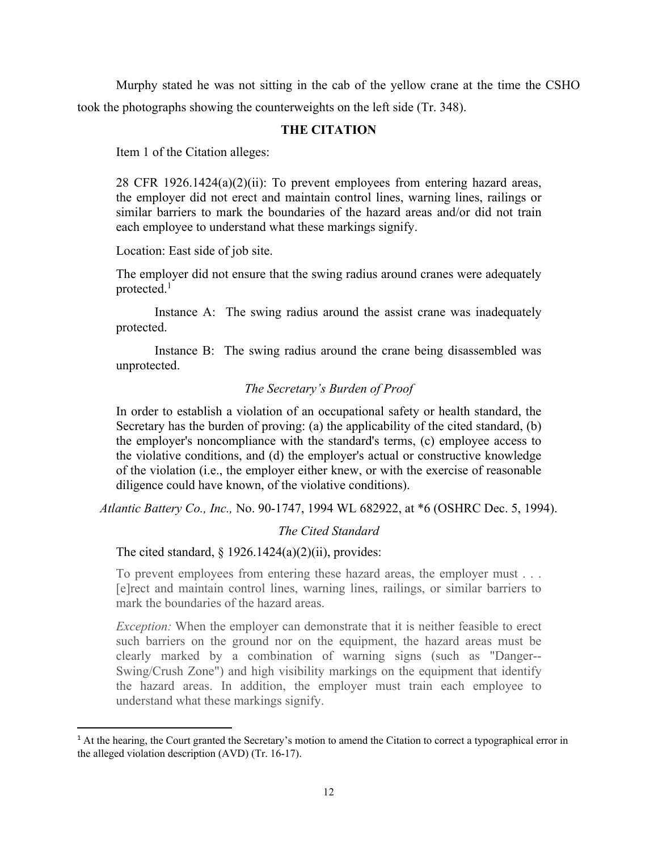Murphy stated he was not sitting in the cab of the yellow crane at the time the CSHO took the photographs showing the counterweights on the left side (Tr. 348).

# **THE CITATION**

Item 1 of the Citation alleges:

28 CFR 1926.1424(a)(2)(ii): To prevent employees from entering hazard areas, the employer did not erect and maintain control lines, warning lines, railings or similar barriers to mark the boundaries of the hazard areas and/or did not train each employee to understand what these markings signify.

Location: East side of job site.

The employer did not ensure that the swing radius around cranes were adequately protected.<sup>1</sup>

 Instance A: The swing radius around the assist crane was inadequately protected.

 Instance B: The swing radius around the crane being disassembled was unprotected.

## *The Secretary's Burden of Proof*

In order to establish a violation of an occupational safety or health standard, the Secretary has the burden of proving: (a) the applicability of the cited standard, (b) the employer's noncompliance with the standard's terms, (c) employee access to the violative conditions, and (d) the employer's actual or constructive knowledge of the violation (i.e., the employer either knew, or with the exercise of reasonable diligence could have known, of the violative conditions).

*Atlantic Battery Co., Inc.,* No. 90-1747, 1994 WL 682922, at \*6 (OSHRC Dec. 5, 1994).

## *The Cited Standard*

The cited standard,  $\S 1926.1424(a)(2)(ii)$ , provides:

To prevent employees from entering these hazard areas, the employer must . . . [e]rect and maintain control lines, warning lines, railings, or similar barriers to mark the boundaries of the hazard areas.

*Exception:* When the employer can demonstrate that it is neither feasible to erect such barriers on the ground nor on the equipment, the hazard areas must be clearly marked by a combination of warning signs (such as "Danger-- Swing/Crush Zone") and high visibility markings on the equipment that identify the hazard areas. In addition, the employer must train each employee to understand what these markings signify.

<sup>&</sup>lt;sup>1</sup> At the hearing, the Court granted the Secretary's motion to amend the Citation to correct a typographical error in the alleged violation description (AVD) (Tr. 16-17).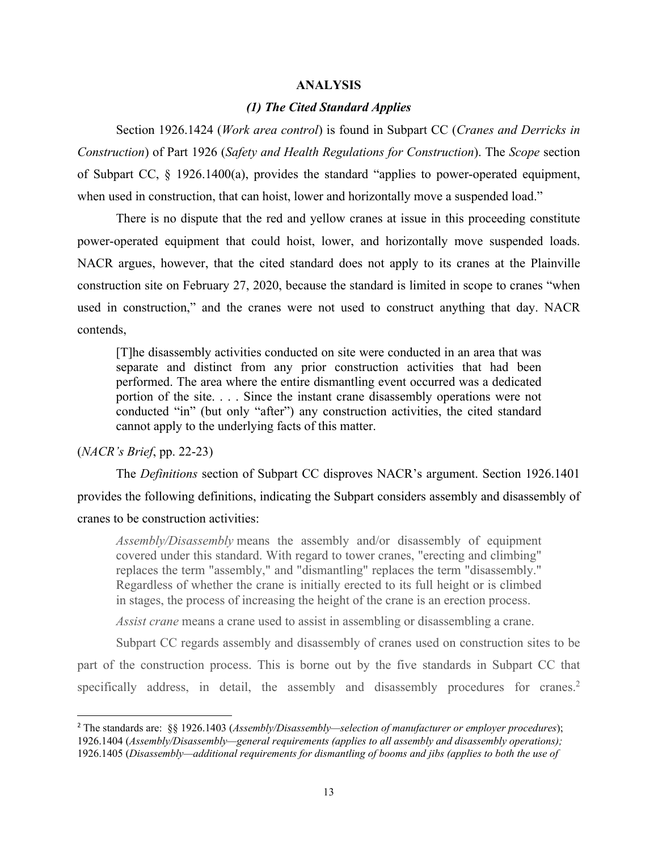#### **ANALYSIS**

## *(1) The Cited Standard Applies*

 Section 1926.1424 (*Work area control*) is found in Subpart CC (*Cranes and Derricks in Construction*) of Part 1926 (*Safety and Health Regulations for Construction*). The *Scope* section of Subpart CC, § 1926.1400(a), provides the standard "applies to power-operated equipment, when used in construction, that can hoist, lower and horizontally move a suspended load."

 There is no dispute that the red and yellow cranes at issue in this proceeding constitute power-operated equipment that could hoist, lower, and horizontally move suspended loads. NACR argues, however, that the cited standard does not apply to its cranes at the Plainville construction site on February 27, 2020, because the standard is limited in scope to cranes "when used in construction," and the cranes were not used to construct anything that day. NACR contends,

[T]he disassembly activities conducted on site were conducted in an area that was separate and distinct from any prior construction activities that had been performed. The area where the entire dismantling event occurred was a dedicated portion of the site. . . . Since the instant crane disassembly operations were not conducted "in" (but only "after") any construction activities, the cited standard cannot apply to the underlying facts of this matter.

(*NACR's Brief*, pp. 22-23)

The *Definitions* section of Subpart CC disproves NACR's argument. Section 1926.1401

provides the following definitions, indicating the Subpart considers assembly and disassembly of

#### cranes to be construction activities:

*Assembly/Disassembly* means the assembly and/or disassembly of equipment covered under this standard. With regard to tower cranes, "erecting and climbing" replaces the term "assembly," and "dismantling" replaces the term "disassembly." Regardless of whether the crane is initially erected to its full height or is climbed in stages, the process of increasing the height of the crane is an erection process.

*Assist crane* means a crane used to assist in assembling or disassembling a crane.

 Subpart CC regards assembly and disassembly of cranes used on construction sites to be part of the construction process. This is borne out by the five standards in Subpart CC that specifically address, in detail, the assembly and disassembly procedures for cranes.<sup>2</sup>

<sup>2</sup> The standards are: §§ 1926.1403 (*Assembly/Disassembly—selection of manufacturer or employer procedures*); 1926.1404 (*Assembly/Disassembly—general requirements (applies to all assembly and disassembly operations);*  1926.1405 (*Disassembly—additional requirements for dismantling of booms and jibs (applies to both the use of*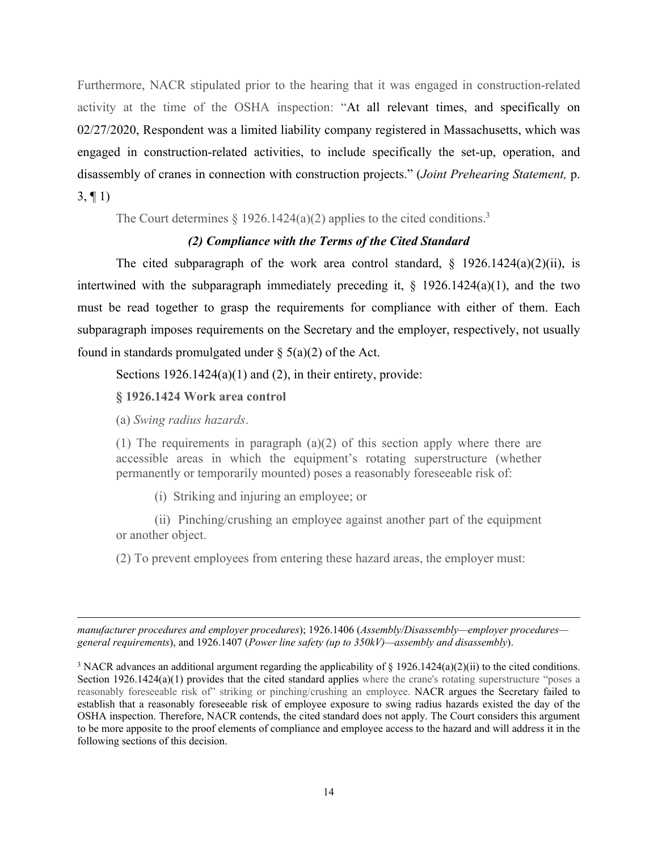Furthermore, NACR stipulated prior to the hearing that it was engaged in construction-related activity at the time of the OSHA inspection: "At all relevant times, and specifically on 02/27/2020, Respondent was a limited liability company registered in Massachusetts, which was engaged in construction-related activities, to include specifically the set-up, operation, and disassembly of cranes in connection with construction projects." (*Joint Prehearing Statement,* p. 3, ¶ 1)

The Court determines  $\S 1926.1424(a)(2)$  applies to the cited conditions.<sup>3</sup>

# *(2) Compliance with the Terms of the Cited Standard*

The cited subparagraph of the work area control standard,  $\S$  1926.1424(a)(2)(ii), is intertwined with the subparagraph immediately preceding it,  $\S$  1926.1424(a)(1), and the two must be read together to grasp the requirements for compliance with either of them. Each subparagraph imposes requirements on the Secretary and the employer, respectively, not usually found in standards promulgated under  $\S$  5(a)(2) of the Act.

Sections  $1926.1424(a)(1)$  and (2), in their entirety, provide:

**§ 1926.1424 Work area control** 

(a) *Swing radius hazards*.

(1) The requirements in paragraph (a)(2) of this section apply where there are accessible areas in which the equipment's rotating superstructure (whether permanently or temporarily mounted) poses a reasonably foreseeable risk of:

(i) Striking and injuring an employee; or

 (ii) Pinching/crushing an employee against another part of the equipment or another object.

(2) To prevent employees from entering these hazard areas, the employer must:

*manufacturer procedures and employer procedures*); 1926.1406 (*Assembly/Disassembly—employer procedures general requirements*), and 1926.1407 (*Power line safety (up to 350kV)—assembly and disassembly*).

<sup>&</sup>lt;sup>3</sup> NACR advances an additional argument regarding the applicability of § 1926.1424(a)(2)(ii) to the cited conditions. Section 1926.1424(a)(1) provides that the cited standard applies where the crane's rotating superstructure "poses a reasonably foreseeable risk of" striking or pinching/crushing an employee. NACR argues the Secretary failed to establish that a reasonably foreseeable risk of employee exposure to swing radius hazards existed the day of the OSHA inspection. Therefore, NACR contends, the cited standard does not apply. The Court considers this argument to be more apposite to the proof elements of compliance and employee access to the hazard and will address it in the following sections of this decision.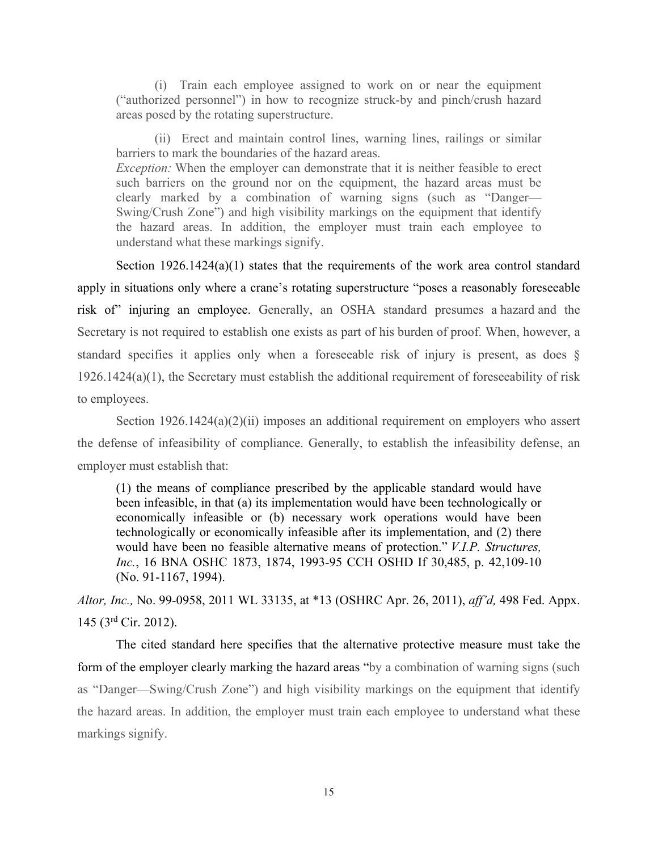(i) Train each employee assigned to work on or near the equipment ("authorized personnel") in how to recognize struck-by and pinch/crush hazard areas posed by the rotating superstructure.

 (ii) Erect and maintain control lines, warning lines, railings or similar barriers to mark the boundaries of the hazard areas. *Exception:* When the employer can demonstrate that it is neither feasible to erect such barriers on the ground nor on the equipment, the hazard areas must be clearly marked by a combination of warning signs (such as "Danger— Swing/Crush Zone") and high visibility markings on the equipment that identify the hazard areas. In addition, the employer must train each employee to understand what these markings signify.

Section 1926.1424(a)(1) states that the requirements of the work area control standard apply in situations only where a crane's rotating superstructure "poses a reasonably foreseeable risk of" injuring an employee. Generally, an OSHA standard presumes a hazard and the Secretary is not required to establish one exists as part of his burden of proof. When, however, a standard specifies it applies only when a foreseeable risk of injury is present, as does § 1926.1424(a)(1), the Secretary must establish the additional requirement of foreseeability of risk to employees.

Section  $1926.1424(a)(2)(ii)$  imposes an additional requirement on employers who assert the defense of infeasibility of compliance. Generally, to establish the infeasibility defense, an employer must establish that:

(1) the means of compliance prescribed by the applicable standard would have been infeasible, in that (a) its implementation would have been technologically or economically infeasible or (b) necessary work operations would have been technologically or economically infeasible after its implementation, and (2) there would have been no feasible alternative means of protection." *V.I.P. Structures, Inc.*, 16 BNA OSHC 1873, 1874, 1993-95 CCH OSHD If 30,485, p. 42,109-10 (No. 91-1167, 1994).

*Altor, Inc.,* No. 99-0958, 2011 WL 33135, at \*13 (OSHRC Apr. 26, 2011), *aff'd,* 498 Fed. Appx. 145 (3rd Cir. 2012).

 The cited standard here specifies that the alternative protective measure must take the form of the employer clearly marking the hazard areas "by a combination of warning signs (such as "Danger—Swing/Crush Zone") and high visibility markings on the equipment that identify the hazard areas. In addition, the employer must train each employee to understand what these markings signify.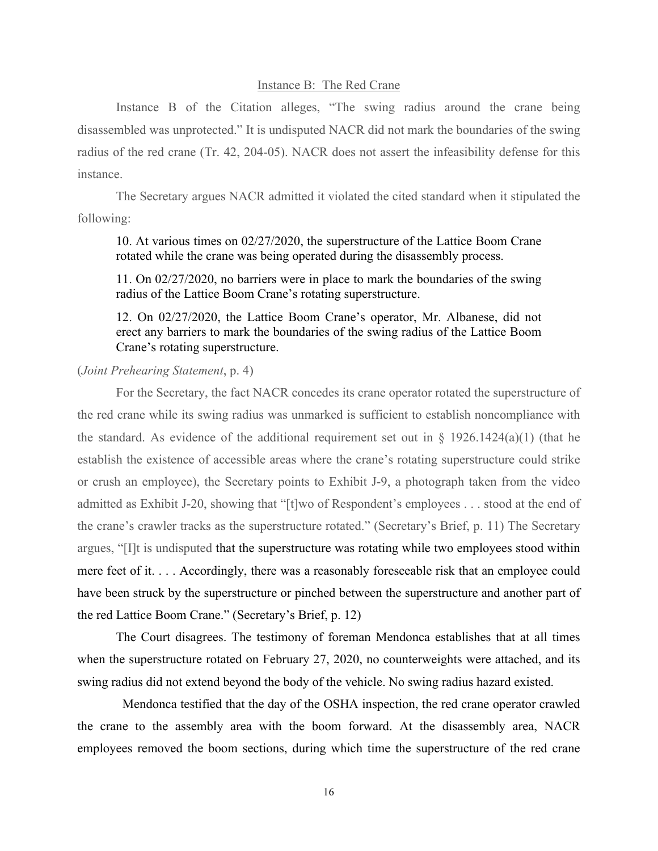#### Instance B: The Red Crane

 Instance B of the Citation alleges, "The swing radius around the crane being disassembled was unprotected." It is undisputed NACR did not mark the boundaries of the swing radius of the red crane (Tr. 42, 204-05). NACR does not assert the infeasibility defense for this instance.

 The Secretary argues NACR admitted it violated the cited standard when it stipulated the following:

10. At various times on 02/27/2020, the superstructure of the Lattice Boom Crane rotated while the crane was being operated during the disassembly process.

11. On 02/27/2020, no barriers were in place to mark the boundaries of the swing radius of the Lattice Boom Crane's rotating superstructure.

12. On 02/27/2020, the Lattice Boom Crane's operator, Mr. Albanese, did not erect any barriers to mark the boundaries of the swing radius of the Lattice Boom Crane's rotating superstructure.

## (*Joint Prehearing Statement*, p. 4)

 For the Secretary, the fact NACR concedes its crane operator rotated the superstructure of the red crane while its swing radius was unmarked is sufficient to establish noncompliance with the standard. As evidence of the additional requirement set out in  $\S$  1926.1424(a)(1) (that he establish the existence of accessible areas where the crane's rotating superstructure could strike or crush an employee), the Secretary points to Exhibit J-9, a photograph taken from the video admitted as Exhibit J-20, showing that "[t]wo of Respondent's employees . . . stood at the end of the crane's crawler tracks as the superstructure rotated." (Secretary's Brief, p. 11) The Secretary argues, "[I]t is undisputed that the superstructure was rotating while two employees stood within mere feet of it. . . . Accordingly, there was a reasonably foreseeable risk that an employee could have been struck by the superstructure or pinched between the superstructure and another part of the red Lattice Boom Crane." (Secretary's Brief, p. 12)

 The Court disagrees. The testimony of foreman Mendonca establishes that at all times when the superstructure rotated on February 27, 2020, no counterweights were attached, and its swing radius did not extend beyond the body of the vehicle. No swing radius hazard existed.

 Mendonca testified that the day of the OSHA inspection, the red crane operator crawled the crane to the assembly area with the boom forward. At the disassembly area, NACR employees removed the boom sections, during which time the superstructure of the red crane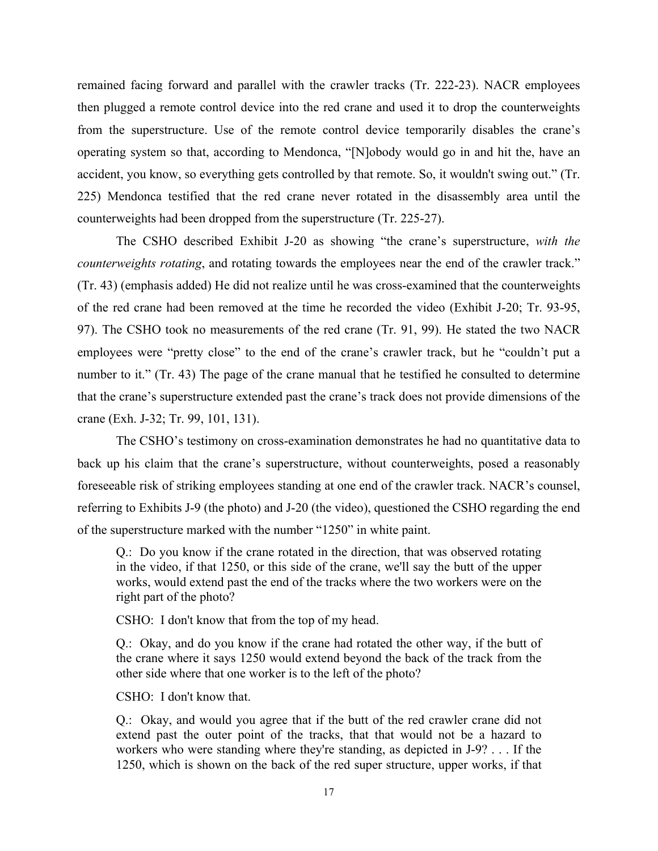remained facing forward and parallel with the crawler tracks (Tr. 222-23). NACR employees then plugged a remote control device into the red crane and used it to drop the counterweights from the superstructure. Use of the remote control device temporarily disables the crane's operating system so that, according to Mendonca, "[N]obody would go in and hit the, have an accident, you know, so everything gets controlled by that remote. So, it wouldn't swing out." (Tr. 225) Mendonca testified that the red crane never rotated in the disassembly area until the counterweights had been dropped from the superstructure (Tr. 225-27).

 The CSHO described Exhibit J-20 as showing "the crane's superstructure, *with the counterweights rotating*, and rotating towards the employees near the end of the crawler track." (Tr. 43) (emphasis added) He did not realize until he was cross-examined that the counterweights of the red crane had been removed at the time he recorded the video (Exhibit J-20; Tr. 93-95, 97). The CSHO took no measurements of the red crane (Tr. 91, 99). He stated the two NACR employees were "pretty close" to the end of the crane's crawler track, but he "couldn't put a number to it." (Tr. 43) The page of the crane manual that he testified he consulted to determine that the crane's superstructure extended past the crane's track does not provide dimensions of the crane (Exh. J-32; Tr. 99, 101, 131).

 The CSHO's testimony on cross-examination demonstrates he had no quantitative data to back up his claim that the crane's superstructure, without counterweights, posed a reasonably foreseeable risk of striking employees standing at one end of the crawler track. NACR's counsel, referring to Exhibits J-9 (the photo) and J-20 (the video), questioned the CSHO regarding the end of the superstructure marked with the number "1250" in white paint.

Q.: Do you know if the crane rotated in the direction, that was observed rotating in the video, if that 1250, or this side of the crane, we'll say the butt of the upper works, would extend past the end of the tracks where the two workers were on the right part of the photo?

CSHO: I don't know that from the top of my head.

Q.: Okay, and do you know if the crane had rotated the other way, if the butt of the crane where it says 1250 would extend beyond the back of the track from the other side where that one worker is to the left of the photo?

CSHO: I don't know that.

Q.: Okay, and would you agree that if the butt of the red crawler crane did not extend past the outer point of the tracks, that that would not be a hazard to workers who were standing where they're standing, as depicted in J-9? . . . If the 1250, which is shown on the back of the red super structure, upper works, if that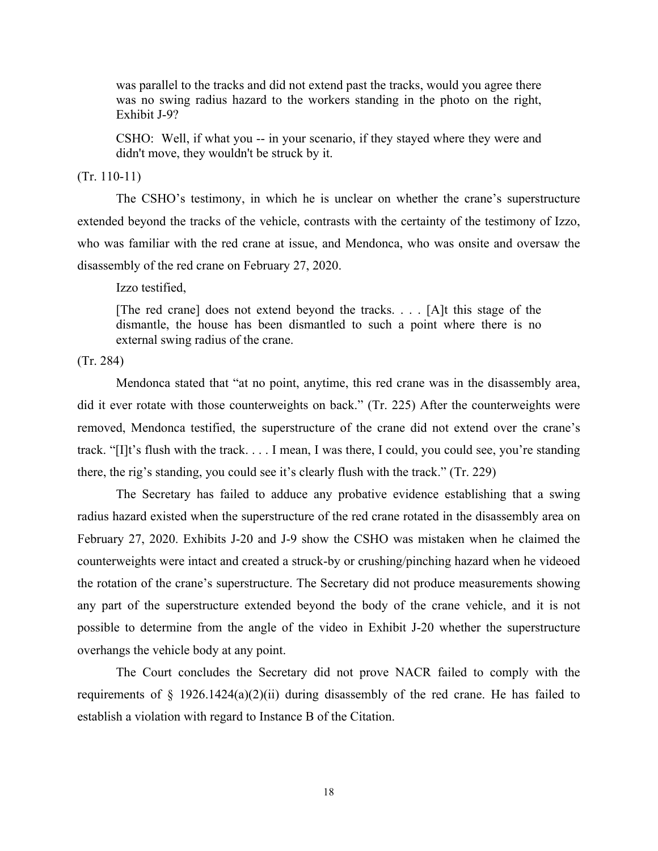was parallel to the tracks and did not extend past the tracks, would you agree there was no swing radius hazard to the workers standing in the photo on the right, Exhibit J-9?

CSHO: Well, if what you -- in your scenario, if they stayed where they were and didn't move, they wouldn't be struck by it.

### (Tr. 110-11)

 The CSHO's testimony, in which he is unclear on whether the crane's superstructure extended beyond the tracks of the vehicle, contrasts with the certainty of the testimony of Izzo, who was familiar with the red crane at issue, and Mendonca, who was onsite and oversaw the disassembly of the red crane on February 27, 2020.

Izzo testified,

[The red crane] does not extend beyond the tracks. . . . [A]t this stage of the dismantle, the house has been dismantled to such a point where there is no external swing radius of the crane.

(Tr. 284)

 Mendonca stated that "at no point, anytime, this red crane was in the disassembly area, did it ever rotate with those counterweights on back." (Tr. 225) After the counterweights were removed, Mendonca testified, the superstructure of the crane did not extend over the crane's track. "[I]t's flush with the track. . . . I mean, I was there, I could, you could see, you're standing there, the rig's standing, you could see it's clearly flush with the track." (Tr. 229)

 The Secretary has failed to adduce any probative evidence establishing that a swing radius hazard existed when the superstructure of the red crane rotated in the disassembly area on February 27, 2020. Exhibits J-20 and J-9 show the CSHO was mistaken when he claimed the counterweights were intact and created a struck-by or crushing/pinching hazard when he videoed the rotation of the crane's superstructure. The Secretary did not produce measurements showing any part of the superstructure extended beyond the body of the crane vehicle, and it is not possible to determine from the angle of the video in Exhibit J-20 whether the superstructure overhangs the vehicle body at any point.

 The Court concludes the Secretary did not prove NACR failed to comply with the requirements of § 1926.1424(a)(2)(ii) during disassembly of the red crane. He has failed to establish a violation with regard to Instance B of the Citation.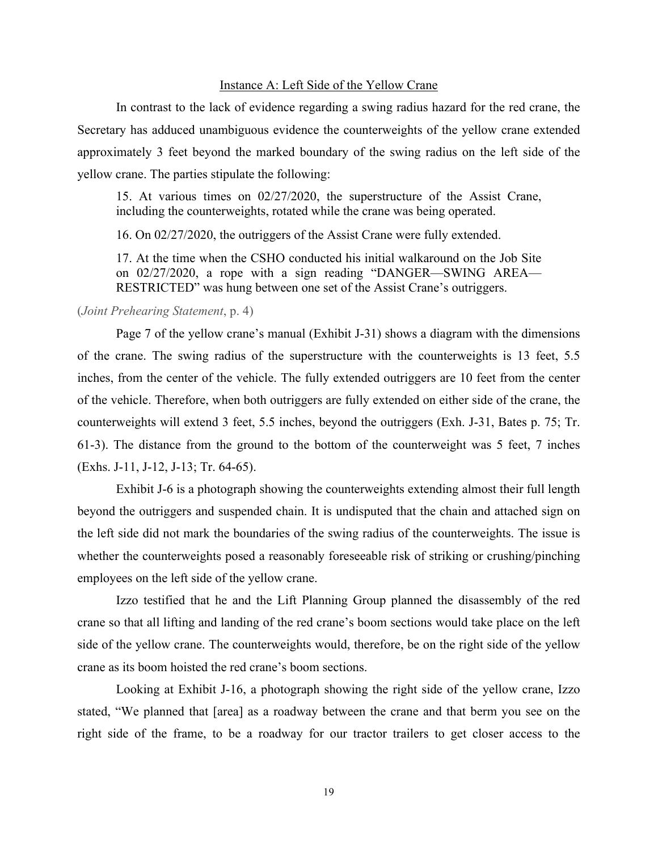#### Instance A: Left Side of the Yellow Crane

 In contrast to the lack of evidence regarding a swing radius hazard for the red crane, the Secretary has adduced unambiguous evidence the counterweights of the yellow crane extended approximately 3 feet beyond the marked boundary of the swing radius on the left side of the yellow crane. The parties stipulate the following:

15. At various times on 02/27/2020, the superstructure of the Assist Crane, including the counterweights, rotated while the crane was being operated.

16. On 02/27/2020, the outriggers of the Assist Crane were fully extended.

17. At the time when the CSHO conducted his initial walkaround on the Job Site on 02/27/2020, a rope with a sign reading "DANGER—SWING AREA— RESTRICTED" was hung between one set of the Assist Crane's outriggers.

#### (*Joint Prehearing Statement*, p. 4)

 Page 7 of the yellow crane's manual (Exhibit J-31) shows a diagram with the dimensions of the crane. The swing radius of the superstructure with the counterweights is 13 feet, 5.5 inches, from the center of the vehicle. The fully extended outriggers are 10 feet from the center of the vehicle. Therefore, when both outriggers are fully extended on either side of the crane, the counterweights will extend 3 feet, 5.5 inches, beyond the outriggers (Exh. J-31, Bates p. 75; Tr. 61-3). The distance from the ground to the bottom of the counterweight was 5 feet, 7 inches (Exhs. J-11, J-12, J-13; Tr. 64-65).

 Exhibit J-6 is a photograph showing the counterweights extending almost their full length beyond the outriggers and suspended chain. It is undisputed that the chain and attached sign on the left side did not mark the boundaries of the swing radius of the counterweights. The issue is whether the counterweights posed a reasonably foreseeable risk of striking or crushing/pinching employees on the left side of the yellow crane.

 Izzo testified that he and the Lift Planning Group planned the disassembly of the red crane so that all lifting and landing of the red crane's boom sections would take place on the left side of the yellow crane. The counterweights would, therefore, be on the right side of the yellow crane as its boom hoisted the red crane's boom sections.

 Looking at Exhibit J-16, a photograph showing the right side of the yellow crane, Izzo stated, "We planned that [area] as a roadway between the crane and that berm you see on the right side of the frame, to be a roadway for our tractor trailers to get closer access to the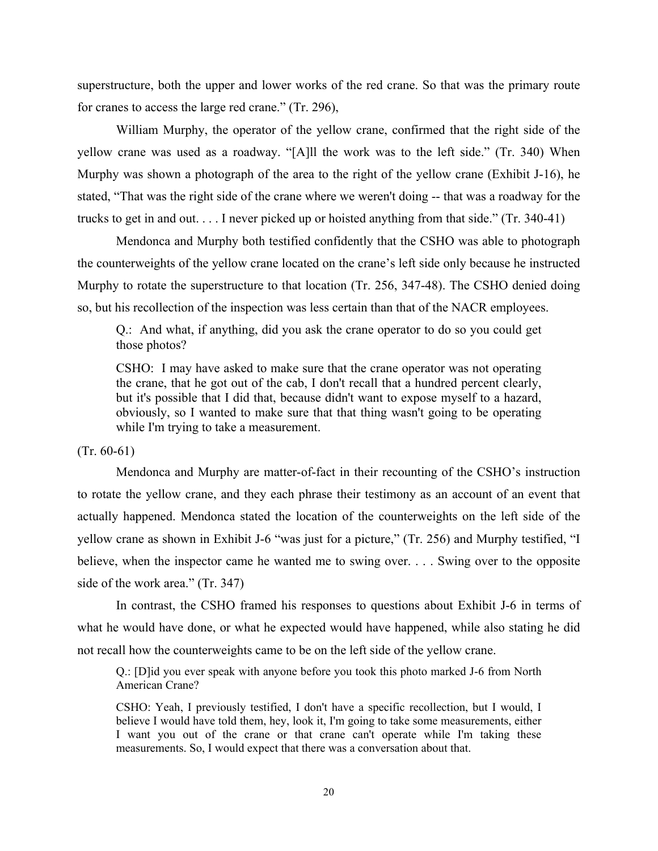superstructure, both the upper and lower works of the red crane. So that was the primary route for cranes to access the large red crane." (Tr. 296),

 William Murphy, the operator of the yellow crane, confirmed that the right side of the yellow crane was used as a roadway. "[A]ll the work was to the left side." (Tr. 340) When Murphy was shown a photograph of the area to the right of the yellow crane (Exhibit J-16), he stated, "That was the right side of the crane where we weren't doing -- that was a roadway for the trucks to get in and out. . . . I never picked up or hoisted anything from that side." (Tr. 340-41)

 Mendonca and Murphy both testified confidently that the CSHO was able to photograph the counterweights of the yellow crane located on the crane's left side only because he instructed Murphy to rotate the superstructure to that location (Tr. 256, 347-48). The CSHO denied doing so, but his recollection of the inspection was less certain than that of the NACR employees.

Q.: And what, if anything, did you ask the crane operator to do so you could get those photos?

CSHO: I may have asked to make sure that the crane operator was not operating the crane, that he got out of the cab, I don't recall that a hundred percent clearly, but it's possible that I did that, because didn't want to expose myself to a hazard, obviously, so I wanted to make sure that that thing wasn't going to be operating while I'm trying to take a measurement.

## $(Tr. 60-61)$

 Mendonca and Murphy are matter-of-fact in their recounting of the CSHO's instruction to rotate the yellow crane, and they each phrase their testimony as an account of an event that actually happened. Mendonca stated the location of the counterweights on the left side of the yellow crane as shown in Exhibit J-6 "was just for a picture," (Tr. 256) and Murphy testified, "I believe, when the inspector came he wanted me to swing over. . . . Swing over to the opposite side of the work area." (Tr. 347)

 In contrast, the CSHO framed his responses to questions about Exhibit J-6 in terms of what he would have done, or what he expected would have happened, while also stating he did not recall how the counterweights came to be on the left side of the yellow crane.

Q.: [D]id you ever speak with anyone before you took this photo marked J-6 from North American Crane?

CSHO: Yeah, I previously testified, I don't have a specific recollection, but I would, I believe I would have told them, hey, look it, I'm going to take some measurements, either I want you out of the crane or that crane can't operate while I'm taking these measurements. So, I would expect that there was a conversation about that.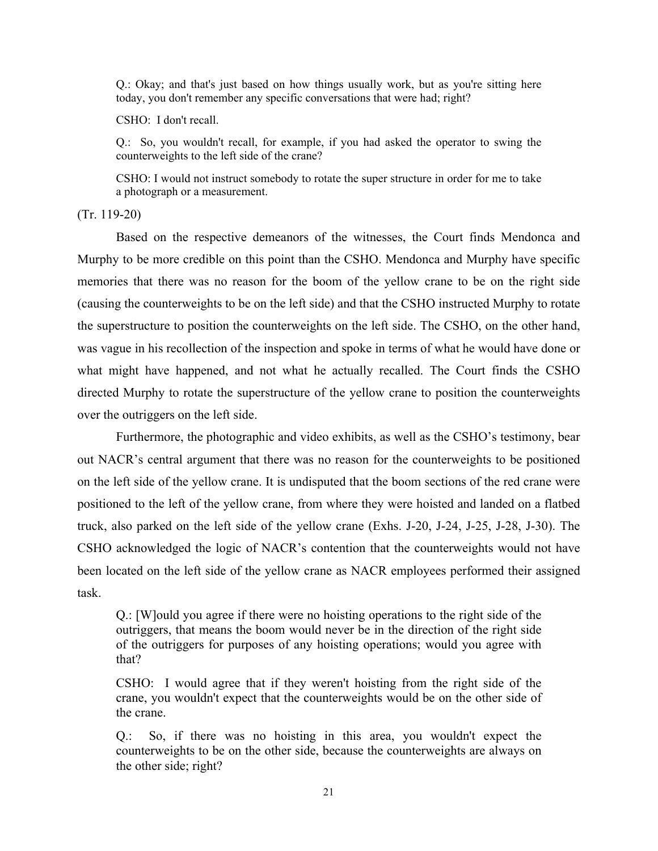Q.: Okay; and that's just based on how things usually work, but as you're sitting here today, you don't remember any specific conversations that were had; right?

CSHO: I don't recall.

Q.: So, you wouldn't recall, for example, if you had asked the operator to swing the counterweights to the left side of the crane?

CSHO: I would not instruct somebody to rotate the super structure in order for me to take a photograph or a measurement.

(Tr. 119-20)

 Based on the respective demeanors of the witnesses, the Court finds Mendonca and Murphy to be more credible on this point than the CSHO. Mendonca and Murphy have specific memories that there was no reason for the boom of the yellow crane to be on the right side (causing the counterweights to be on the left side) and that the CSHO instructed Murphy to rotate the superstructure to position the counterweights on the left side. The CSHO, on the other hand, was vague in his recollection of the inspection and spoke in terms of what he would have done or what might have happened, and not what he actually recalled. The Court finds the CSHO directed Murphy to rotate the superstructure of the yellow crane to position the counterweights over the outriggers on the left side.

 Furthermore, the photographic and video exhibits, as well as the CSHO's testimony, bear out NACR's central argument that there was no reason for the counterweights to be positioned on the left side of the yellow crane. It is undisputed that the boom sections of the red crane were positioned to the left of the yellow crane, from where they were hoisted and landed on a flatbed truck, also parked on the left side of the yellow crane (Exhs. J-20, J-24, J-25, J-28, J-30). The CSHO acknowledged the logic of NACR's contention that the counterweights would not have been located on the left side of the yellow crane as NACR employees performed their assigned task.

Q.: [W]ould you agree if there were no hoisting operations to the right side of the outriggers, that means the boom would never be in the direction of the right side of the outriggers for purposes of any hoisting operations; would you agree with that?

CSHO: I would agree that if they weren't hoisting from the right side of the crane, you wouldn't expect that the counterweights would be on the other side of the crane.

Q.: So, if there was no hoisting in this area, you wouldn't expect the counterweights to be on the other side, because the counterweights are always on the other side; right?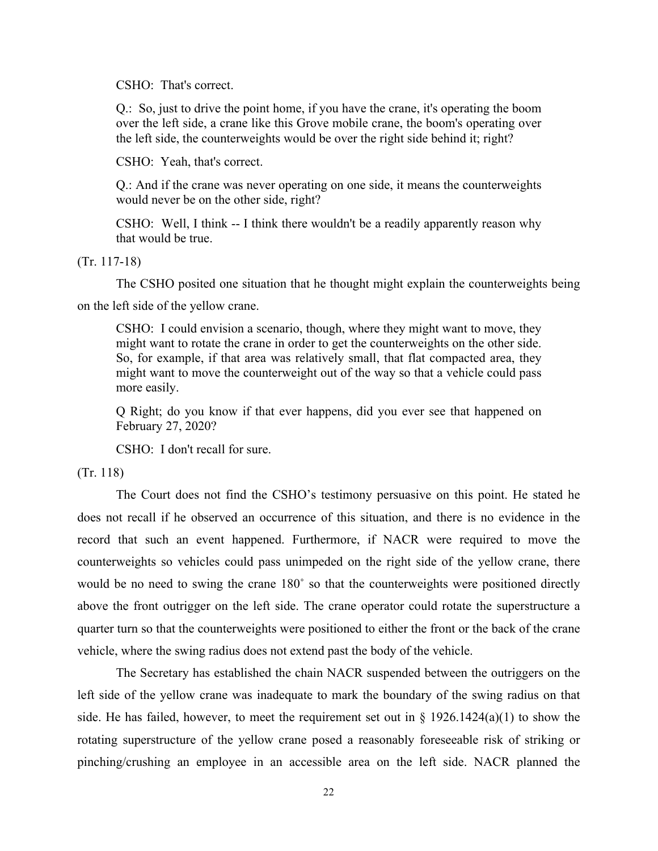CSHO: That's correct.

Q.: So, just to drive the point home, if you have the crane, it's operating the boom over the left side, a crane like this Grove mobile crane, the boom's operating over the left side, the counterweights would be over the right side behind it; right?

CSHO: Yeah, that's correct.

Q.: And if the crane was never operating on one side, it means the counterweights would never be on the other side, right?

CSHO: Well, I think -- I think there wouldn't be a readily apparently reason why that would be true.

(Tr. 117-18)

 The CSHO posited one situation that he thought might explain the counterweights being on the left side of the yellow crane.

CSHO: I could envision a scenario, though, where they might want to move, they might want to rotate the crane in order to get the counterweights on the other side. So, for example, if that area was relatively small, that flat compacted area, they might want to move the counterweight out of the way so that a vehicle could pass more easily.

Q Right; do you know if that ever happens, did you ever see that happened on February 27, 2020?

CSHO: I don't recall for sure.

(Tr. 118)

 The Court does not find the CSHO's testimony persuasive on this point. He stated he does not recall if he observed an occurrence of this situation, and there is no evidence in the record that such an event happened. Furthermore, if NACR were required to move the counterweights so vehicles could pass unimpeded on the right side of the yellow crane, there would be no need to swing the crane 180° so that the counterweights were positioned directly above the front outrigger on the left side. The crane operator could rotate the superstructure a quarter turn so that the counterweights were positioned to either the front or the back of the crane vehicle, where the swing radius does not extend past the body of the vehicle.

 The Secretary has established the chain NACR suspended between the outriggers on the left side of the yellow crane was inadequate to mark the boundary of the swing radius on that side. He has failed, however, to meet the requirement set out in  $\S$  1926.1424(a)(1) to show the rotating superstructure of the yellow crane posed a reasonably foreseeable risk of striking or pinching/crushing an employee in an accessible area on the left side. NACR planned the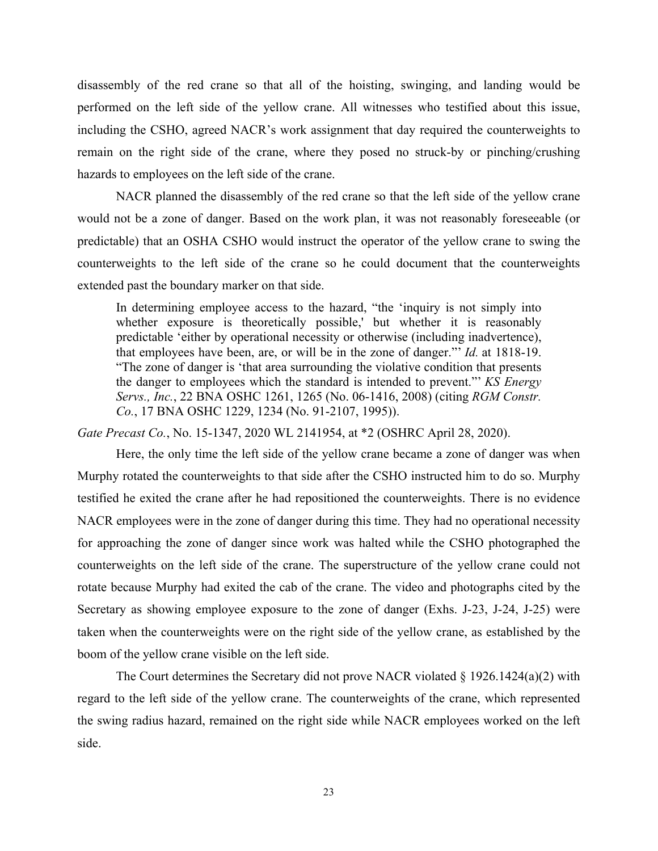disassembly of the red crane so that all of the hoisting, swinging, and landing would be performed on the left side of the yellow crane. All witnesses who testified about this issue, including the CSHO, agreed NACR's work assignment that day required the counterweights to remain on the right side of the crane, where they posed no struck-by or pinching/crushing hazards to employees on the left side of the crane.

 NACR planned the disassembly of the red crane so that the left side of the yellow crane would not be a zone of danger. Based on the work plan, it was not reasonably foreseeable (or predictable) that an OSHA CSHO would instruct the operator of the yellow crane to swing the counterweights to the left side of the crane so he could document that the counterweights extended past the boundary marker on that side.

In determining employee access to the hazard, "the 'inquiry is not simply into whether exposure is theoretically possible,' but whether it is reasonably predictable 'either by operational necessity or otherwise (including inadvertence), that employees have been, are, or will be in the zone of danger."' *Id.* at 1818-19. "The zone of danger is 'that area surrounding the violative condition that presents the danger to employees which the standard is intended to prevent."' *KS Energy Servs., Inc.*, 22 BNA OSHC 1261, 1265 (No. 06-1416, 2008) (citing *RGM Constr. Co.*, 17 BNA OSHC 1229, 1234 (No. 91-2107, 1995)).

*Gate Precast Co.*, No. 15-1347, 2020 WL 2141954, at \*2 (OSHRC April 28, 2020).

 Here, the only time the left side of the yellow crane became a zone of danger was when Murphy rotated the counterweights to that side after the CSHO instructed him to do so. Murphy testified he exited the crane after he had repositioned the counterweights. There is no evidence NACR employees were in the zone of danger during this time. They had no operational necessity for approaching the zone of danger since work was halted while the CSHO photographed the counterweights on the left side of the crane. The superstructure of the yellow crane could not rotate because Murphy had exited the cab of the crane. The video and photographs cited by the Secretary as showing employee exposure to the zone of danger (Exhs. J-23, J-24, J-25) were taken when the counterweights were on the right side of the yellow crane, as established by the boom of the yellow crane visible on the left side.

 The Court determines the Secretary did not prove NACR violated § 1926.1424(a)(2) with regard to the left side of the yellow crane. The counterweights of the crane, which represented the swing radius hazard, remained on the right side while NACR employees worked on the left side.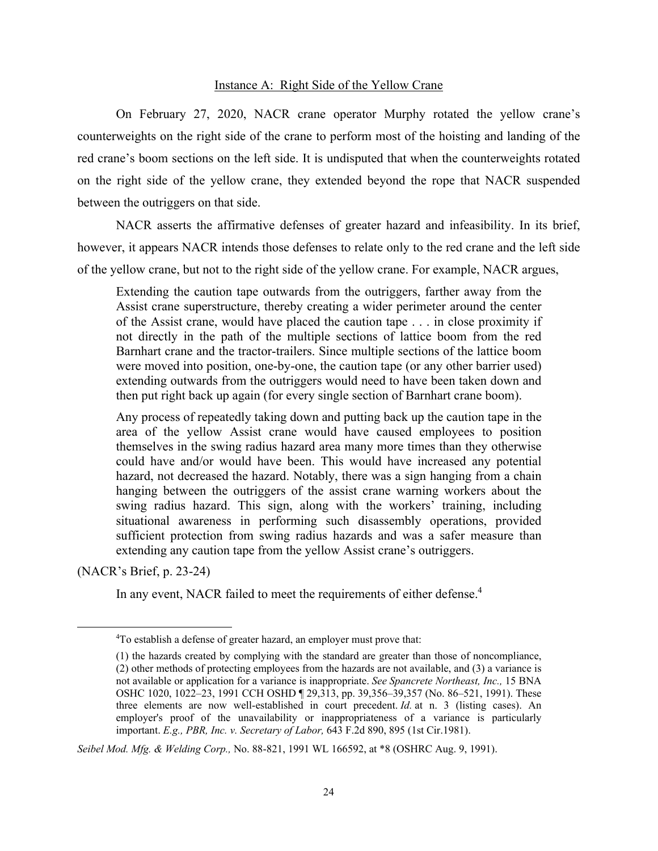## Instance A: Right Side of the Yellow Crane

 On February 27, 2020, NACR crane operator Murphy rotated the yellow crane's counterweights on the right side of the crane to perform most of the hoisting and landing of the red crane's boom sections on the left side. It is undisputed that when the counterweights rotated on the right side of the yellow crane, they extended beyond the rope that NACR suspended between the outriggers on that side.

 NACR asserts the affirmative defenses of greater hazard and infeasibility. In its brief, however, it appears NACR intends those defenses to relate only to the red crane and the left side of the yellow crane, but not to the right side of the yellow crane. For example, NACR argues,

Extending the caution tape outwards from the outriggers, farther away from the Assist crane superstructure, thereby creating a wider perimeter around the center of the Assist crane, would have placed the caution tape . . . in close proximity if not directly in the path of the multiple sections of lattice boom from the red Barnhart crane and the tractor-trailers. Since multiple sections of the lattice boom were moved into position, one-by-one, the caution tape (or any other barrier used) extending outwards from the outriggers would need to have been taken down and then put right back up again (for every single section of Barnhart crane boom).

Any process of repeatedly taking down and putting back up the caution tape in the area of the yellow Assist crane would have caused employees to position themselves in the swing radius hazard area many more times than they otherwise could have and/or would have been. This would have increased any potential hazard, not decreased the hazard. Notably, there was a sign hanging from a chain hanging between the outriggers of the assist crane warning workers about the swing radius hazard. This sign, along with the workers' training, including situational awareness in performing such disassembly operations, provided sufficient protection from swing radius hazards and was a safer measure than extending any caution tape from the yellow Assist crane's outriggers.

(NACR's Brief, p. 23-24)

In any event, NACR failed to meet the requirements of either defense.<sup>4</sup>

*Seibel Mod. Mfg. & Welding Corp.,* No. 88-821, 1991 WL 166592, at \*8 (OSHRC Aug. 9, 1991).

<sup>&</sup>lt;sup>4</sup>To establish a defense of greater hazard, an employer must prove that:

<sup>(1)</sup> the hazards created by complying with the standard are greater than those of noncompliance, (2) other methods of protecting employees from the hazards are not available, and (3) a variance is not available or application for a variance is inappropriate. *See Spancrete Northeast, Inc.,* 15 BNA OSHC 1020, 1022–23, 1991 CCH OSHD ¶ 29,313, pp. 39,356–39,357 (No. 86–521, 1991). These three elements are now well-established in court precedent. *Id.* at n. 3 (listing cases). An employer's proof of the unavailability or inappropriateness of a variance is particularly important. *E.g., PBR, Inc. v. Secretary of Labor,* 643 F.2d 890, 895 (1st Cir.1981).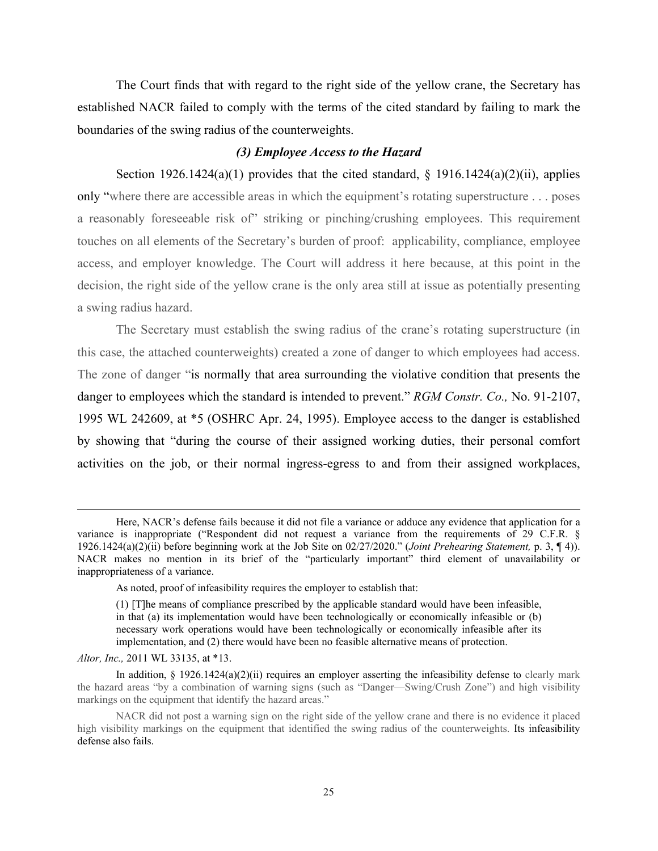The Court finds that with regard to the right side of the yellow crane, the Secretary has established NACR failed to comply with the terms of the cited standard by failing to mark the boundaries of the swing radius of the counterweights.

#### *(3) Employee Access to the Hazard*

Section 1926.1424(a)(1) provides that the cited standard,  $\S$  1916.1424(a)(2)(ii), applies only "where there are accessible areas in which the equipment's rotating superstructure . . . poses a reasonably foreseeable risk of striking or pinching/crushing employees. This requirement touches on all elements of the Secretary's burden of proof: applicability, compliance, employee access, and employer knowledge. The Court will address it here because, at this point in the decision, the right side of the yellow crane is the only area still at issue as potentially presenting a swing radius hazard.

 The Secretary must establish the swing radius of the crane's rotating superstructure (in this case, the attached counterweights) created a zone of danger to which employees had access. The zone of danger "is normally that area surrounding the violative condition that presents the danger to employees which the standard is intended to prevent." *RGM Constr. Co.,* No. 91-2107, 1995 WL 242609, at \*5 (OSHRC Apr. 24, 1995). Employee access to the danger is established by showing that "during the course of their assigned working duties, their personal comfort activities on the job, or their normal ingress-egress to and from their assigned workplaces,

*Altor, Inc.,* 2011 WL 33135, at \*13.

Here, NACR's defense fails because it did not file a variance or adduce any evidence that application for a variance is inappropriate ("Respondent did not request a variance from the requirements of 29 C.F.R. § 1926.1424(a)(2)(ii) before beginning work at the Job Site on 02/27/2020." (*Joint Prehearing Statement,* p. 3, ¶ 4)). NACR makes no mention in its brief of the "particularly important" third element of unavailability or inappropriateness of a variance.

As noted, proof of infeasibility requires the employer to establish that:

<sup>(1) [</sup>T]he means of compliance prescribed by the applicable standard would have been infeasible, in that (a) its implementation would have been technologically or economically infeasible or (b) necessary work operations would have been technologically or economically infeasible after its implementation, and (2) there would have been no feasible alternative means of protection.

In addition,  $\S$  1926.1424(a)(2)(ii) requires an employer asserting the infeasibility defense to clearly mark the hazard areas "by a combination of warning signs (such as "Danger—Swing/Crush Zone") and high visibility markings on the equipment that identify the hazard areas."

NACR did not post a warning sign on the right side of the yellow crane and there is no evidence it placed high visibility markings on the equipment that identified the swing radius of the counterweights. Its infeasibility defense also fails.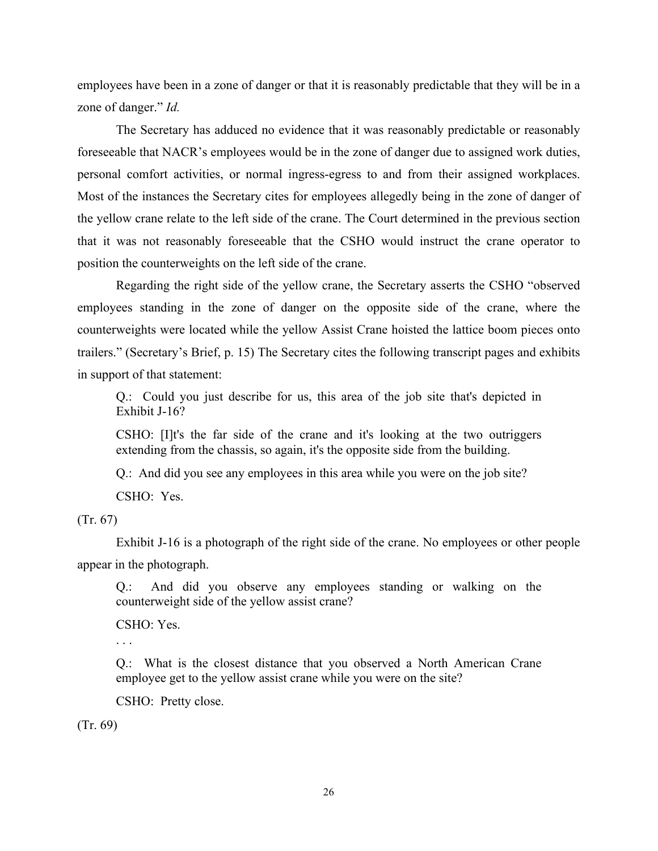employees have been in a zone of danger or that it is reasonably predictable that they will be in a zone of danger." *Id.*

 The Secretary has adduced no evidence that it was reasonably predictable or reasonably foreseeable that NACR's employees would be in the zone of danger due to assigned work duties, personal comfort activities, or normal ingress-egress to and from their assigned workplaces. Most of the instances the Secretary cites for employees allegedly being in the zone of danger of the yellow crane relate to the left side of the crane. The Court determined in the previous section that it was not reasonably foreseeable that the CSHO would instruct the crane operator to position the counterweights on the left side of the crane.

 Regarding the right side of the yellow crane, the Secretary asserts the CSHO "observed employees standing in the zone of danger on the opposite side of the crane, where the counterweights were located while the yellow Assist Crane hoisted the lattice boom pieces onto trailers." (Secretary's Brief, p. 15) The Secretary cites the following transcript pages and exhibits in support of that statement:

Q.: Could you just describe for us, this area of the job site that's depicted in Exhibit J-16?

CSHO: [I]t's the far side of the crane and it's looking at the two outriggers extending from the chassis, so again, it's the opposite side from the building.

Q.: And did you see any employees in this area while you were on the job site?

CSHO: Yes.

# (Tr. 67)

 Exhibit J-16 is a photograph of the right side of the crane. No employees or other people appear in the photograph.

Q.: And did you observe any employees standing or walking on the counterweight side of the yellow assist crane?

CSHO: Yes.

. . .

Q.: What is the closest distance that you observed a North American Crane employee get to the yellow assist crane while you were on the site?

CSHO: Pretty close.

(Tr. 69)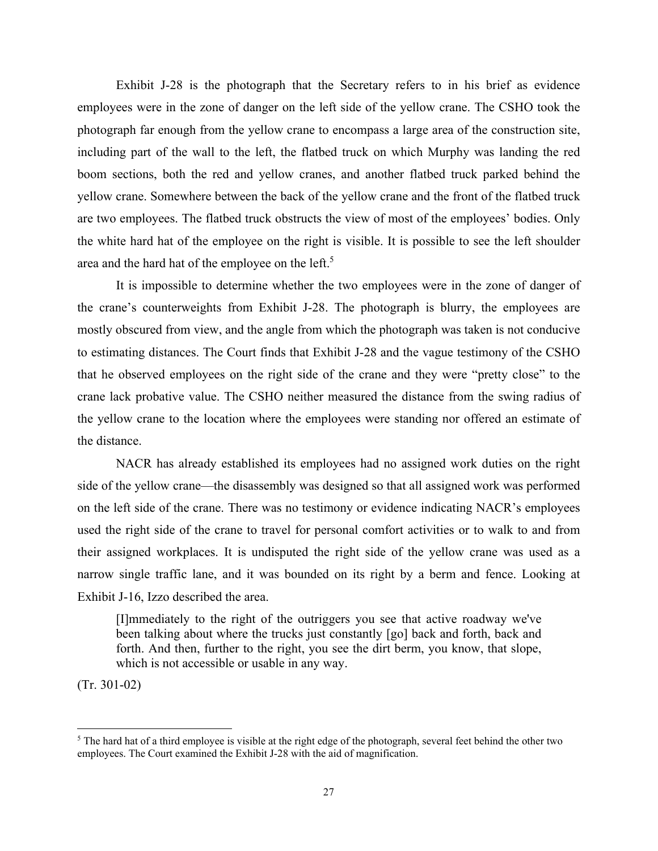Exhibit J-28 is the photograph that the Secretary refers to in his brief as evidence employees were in the zone of danger on the left side of the yellow crane. The CSHO took the photograph far enough from the yellow crane to encompass a large area of the construction site, including part of the wall to the left, the flatbed truck on which Murphy was landing the red boom sections, both the red and yellow cranes, and another flatbed truck parked behind the yellow crane. Somewhere between the back of the yellow crane and the front of the flatbed truck are two employees. The flatbed truck obstructs the view of most of the employees' bodies. Only the white hard hat of the employee on the right is visible. It is possible to see the left shoulder area and the hard hat of the employee on the left.<sup>5</sup>

 It is impossible to determine whether the two employees were in the zone of danger of the crane's counterweights from Exhibit J-28. The photograph is blurry, the employees are mostly obscured from view, and the angle from which the photograph was taken is not conducive to estimating distances. The Court finds that Exhibit J-28 and the vague testimony of the CSHO that he observed employees on the right side of the crane and they were "pretty close" to the crane lack probative value. The CSHO neither measured the distance from the swing radius of the yellow crane to the location where the employees were standing nor offered an estimate of the distance.

 NACR has already established its employees had no assigned work duties on the right side of the yellow crane—the disassembly was designed so that all assigned work was performed on the left side of the crane. There was no testimony or evidence indicating NACR's employees used the right side of the crane to travel for personal comfort activities or to walk to and from their assigned workplaces. It is undisputed the right side of the yellow crane was used as a narrow single traffic lane, and it was bounded on its right by a berm and fence. Looking at Exhibit J-16, Izzo described the area.

[I]mmediately to the right of the outriggers you see that active roadway we've been talking about where the trucks just constantly [go] back and forth, back and forth. And then, further to the right, you see the dirt berm, you know, that slope, which is not accessible or usable in any way.

(Tr. 301-02)

 $5$  The hard hat of a third employee is visible at the right edge of the photograph, several feet behind the other two employees. The Court examined the Exhibit J-28 with the aid of magnification.